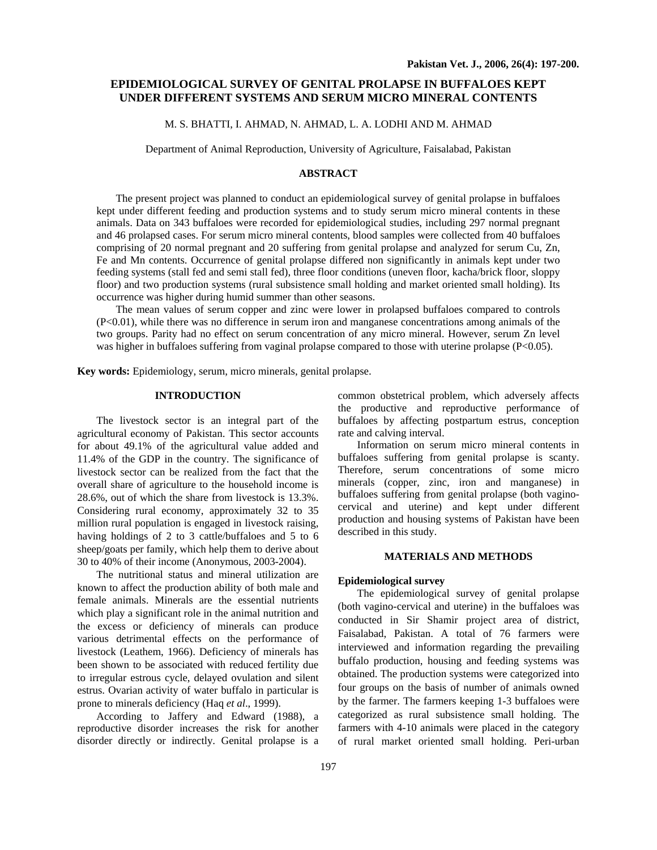# **EPIDEMIOLOGICAL SURVEY OF GENITAL PROLAPSE IN BUFFALOES KEPT UNDER DIFFERENT SYSTEMS AND SERUM MICRO MINERAL CONTENTS**

### M. S. BHATTI, I. AHMAD, N. AHMAD, L. A. LODHI AND M. AHMAD

Department of Animal Reproduction, University of Agriculture, Faisalabad, Pakistan

### **ABSTRACT**

The present project was planned to conduct an epidemiological survey of genital prolapse in buffaloes kept under different feeding and production systems and to study serum micro mineral contents in these animals. Data on 343 buffaloes were recorded for epidemiological studies, including 297 normal pregnant and 46 prolapsed cases. For serum micro mineral contents, blood samples were collected from 40 buffaloes comprising of 20 normal pregnant and 20 suffering from genital prolapse and analyzed for serum Cu, Zn, Fe and Mn contents. Occurrence of genital prolapse differed non significantly in animals kept under two feeding systems (stall fed and semi stall fed), three floor conditions (uneven floor, kacha/brick floor, sloppy floor) and two production systems (rural subsistence small holding and market oriented small holding). Its occurrence was higher during humid summer than other seasons.

The mean values of serum copper and zinc were lower in prolapsed buffaloes compared to controls (P<0.01), while there was no difference in serum iron and manganese concentrations among animals of the two groups. Parity had no effect on serum concentration of any micro mineral. However, serum Zn level was higher in buffaloes suffering from vaginal prolapse compared to those with uterine prolapse (P<0.05).

**Key words:** Epidemiology, serum, micro minerals, genital prolapse.

## **INTRODUCTION**

The livestock sector is an integral part of the agricultural economy of Pakistan. This sector accounts for about 49.1% of the agricultural value added and 11.4% of the GDP in the country. The significance of livestock sector can be realized from the fact that the overall share of agriculture to the household income is 28.6%, out of which the share from livestock is 13.3%. Considering rural economy, approximately 32 to 35 million rural population is engaged in livestock raising, having holdings of 2 to 3 cattle/buffaloes and 5 to 6 sheep/goats per family, which help them to derive about 30 to 40% of their income (Anonymous, 2003-2004).

The nutritional status and mineral utilization are known to affect the production ability of both male and female animals. Minerals are the essential nutrients which play a significant role in the animal nutrition and the excess or deficiency of minerals can produce various detrimental effects on the performance of livestock (Leathem, 1966). Deficiency of minerals has been shown to be associated with reduced fertility due to irregular estrous cycle, delayed ovulation and silent estrus. Ovarian activity of water buffalo in particular is prone to minerals deficiency (Haq *et al*., 1999).

According to Jaffery and Edward (1988), a reproductive disorder increases the risk for another disorder directly or indirectly. Genital prolapse is a

common obstetrical problem, which adversely affects the productive and reproductive performance of buffaloes by affecting postpartum estrus, conception rate and calving interval.

Information on serum micro mineral contents in buffaloes suffering from genital prolapse is scanty. Therefore, serum concentrations of some micro minerals (copper, zinc, iron and manganese) in buffaloes suffering from genital prolapse (both vaginocervical and uterine) and kept under different production and housing systems of Pakistan have been described in this study.

### **MATERIALS AND METHODS**

### **Epidemiological survey**

The epidemiological survey of genital prolapse (both vagino-cervical and uterine) in the buffaloes was conducted in Sir Shamir project area of district, Faisalabad, Pakistan. A total of 76 farmers were interviewed and information regarding the prevailing buffalo production, housing and feeding systems was obtained. The production systems were categorized into four groups on the basis of number of animals owned by the farmer. The farmers keeping 1-3 buffaloes were categorized as rural subsistence small holding. The farmers with 4-10 animals were placed in the category of rural market oriented small holding. Peri-urban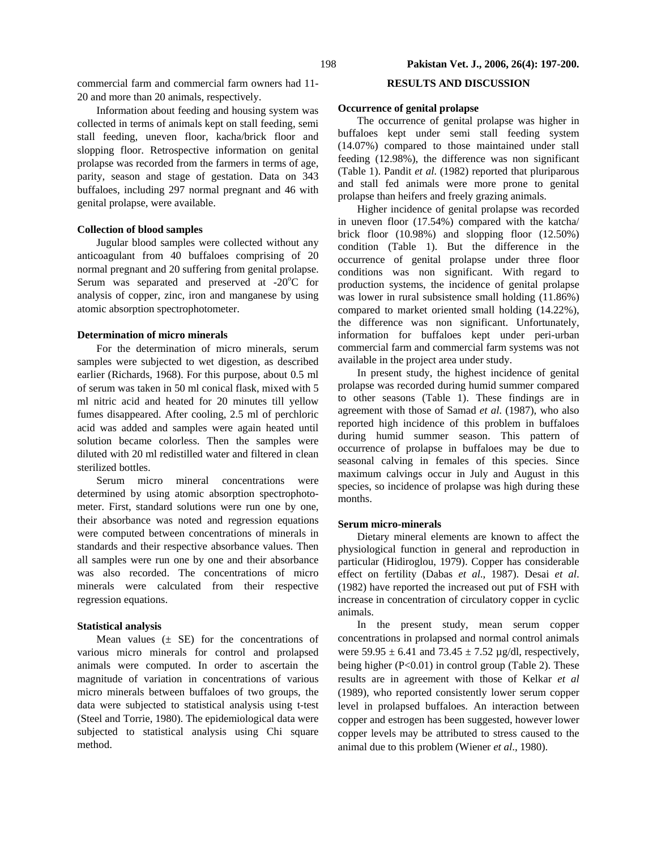commercial farm and commercial farm owners had 11- 20 and more than 20 animals, respectively.

Information about feeding and housing system was collected in terms of animals kept on stall feeding, semi stall feeding, uneven floor, kacha/brick floor and slopping floor. Retrospective information on genital prolapse was recorded from the farmers in terms of age, parity, season and stage of gestation. Data on 343 buffaloes, including 297 normal pregnant and 46 with genital prolapse, were available.

## **Collection of blood samples**

Jugular blood samples were collected without any anticoagulant from 40 buffaloes comprising of 20 normal pregnant and 20 suffering from genital prolapse. Serum was separated and preserved at  $-20^{\circ}$ C for analysis of copper, zinc, iron and manganese by using atomic absorption spectrophotometer.

## **Determination of micro minerals**

For the determination of micro minerals, serum samples were subjected to wet digestion, as described earlier (Richards, 1968). For this purpose, about 0.5 ml of serum was taken in 50 ml conical flask, mixed with 5 ml nitric acid and heated for 20 minutes till yellow fumes disappeared. After cooling, 2.5 ml of perchloric acid was added and samples were again heated until solution became colorless. Then the samples were diluted with 20 ml redistilled water and filtered in clean sterilized bottles.

Serum micro mineral concentrations were determined by using atomic absorption spectrophotometer. First, standard solutions were run one by one, their absorbance was noted and regression equations were computed between concentrations of minerals in standards and their respective absorbance values. Then all samples were run one by one and their absorbance was also recorded. The concentrations of micro minerals were calculated from their respective regression equations.

### **Statistical analysis**

Mean values  $(\pm$  SE) for the concentrations of various micro minerals for control and prolapsed animals were computed. In order to ascertain the magnitude of variation in concentrations of various micro minerals between buffaloes of two groups, the data were subjected to statistical analysis using t-test (Steel and Torrie, 1980). The epidemiological data were subjected to statistical analysis using Chi square method.

## **RESULTS AND DISCUSSION**

### **Occurrence of genital prolapse**

The occurrence of genital prolapse was higher in buffaloes kept under semi stall feeding system (14.07%) compared to those maintained under stall feeding (12.98%), the difference was non significant (Table 1). Pandit *et al*. (1982) reported that pluriparous and stall fed animals were more prone to genital prolapse than heifers and freely grazing animals.

Higher incidence of genital prolapse was recorded in uneven floor (17.54%) compared with the katcha/ brick floor (10.98%) and slopping floor (12.50%) condition (Table 1). But the difference in the occurrence of genital prolapse under three floor conditions was non significant. With regard to production systems, the incidence of genital prolapse was lower in rural subsistence small holding (11.86%) compared to market oriented small holding (14.22%), the difference was non significant. Unfortunately, information for buffaloes kept under peri-urban commercial farm and commercial farm systems was not available in the project area under study.

In present study, the highest incidence of genital prolapse was recorded during humid summer compared to other seasons (Table 1). These findings are in agreement with those of Samad *et al*. (1987), who also reported high incidence of this problem in buffaloes during humid summer season. This pattern of occurrence of prolapse in buffaloes may be due to seasonal calving in females of this species. Since maximum calvings occur in July and August in this species, so incidence of prolapse was high during these months.

### **Serum micro-minerals**

Dietary mineral elements are known to affect the physiological function in general and reproduction in particular (Hidiroglou, 1979). Copper has considerable effect on fertility (Dabas *et al*., 1987). Desai *et al*. (1982) have reported the increased out put of FSH with increase in concentration of circulatory copper in cyclic animals.

In the present study, mean serum copper concentrations in prolapsed and normal control animals were  $59.95 \pm 6.41$  and  $73.45 \pm 7.52$  µg/dl, respectively, being higher (P<0.01) in control group (Table 2). These results are in agreement with those of Kelkar *et al* (1989), who reported consistently lower serum copper level in prolapsed buffaloes. An interaction between copper and estrogen has been suggested, however lower copper levels may be attributed to stress caused to the animal due to this problem (Wiener *et al*., 1980).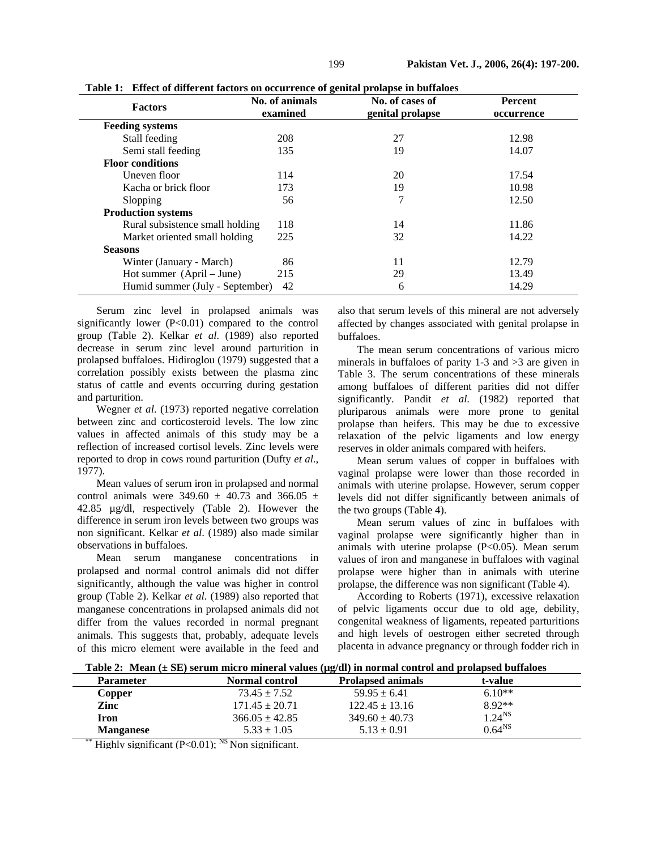| <b>Factors</b>                  | No. of animals<br>examined | No. of cases of<br>genital prolapse | <b>Percent</b><br>occurrence |
|---------------------------------|----------------------------|-------------------------------------|------------------------------|
| <b>Feeding systems</b>          |                            |                                     |                              |
| Stall feeding                   | 208                        | 27                                  | 12.98                        |
| Semi stall feeding              | 135                        | 19                                  | 14.07                        |
| <b>Floor conditions</b>         |                            |                                     |                              |
| Uneven floor                    | 114                        | 20                                  | 17.54                        |
| Kacha or brick floor            | 173                        | 19                                  | 10.98                        |
| Slopping                        | 56                         | 7                                   | 12.50                        |
| <b>Production systems</b>       |                            |                                     |                              |
| Rural subsistence small holding | 118                        | 14                                  | 11.86                        |
| Market oriented small holding   | 225                        | 32                                  | 14.22                        |
| <b>Seasons</b>                  |                            |                                     |                              |
| Winter (January - March)        | 86                         | 11                                  | 12.79                        |
| Hot summer (April – June)       | 215                        | 29                                  | 13.49                        |
| Humid summer (July - September) | 42                         | 6                                   | 14.29                        |

**Table 1: Effect of different factors on occurrence of genital prolapse in buffaloes** 

Serum zinc level in prolapsed animals was significantly lower (P<0.01) compared to the control group (Table 2). Kelkar *et al*. (1989) also reported decrease in serum zinc level around parturition in prolapsed buffaloes. Hidiroglou (1979) suggested that a correlation possibly exists between the plasma zinc status of cattle and events occurring during gestation and parturition.

Wegner *et al*. (1973) reported negative correlation between zinc and corticosteroid levels. The low zinc values in affected animals of this study may be a reflection of increased cortisol levels. Zinc levels were reported to drop in cows round parturition (Dufty *et al*., 1977).

Mean values of serum iron in prolapsed and normal control animals were 349.60  $\pm$  40.73 and 366.05  $\pm$ 42.85 µg/dl, respectively (Table 2). However the difference in serum iron levels between two groups was non significant. Kelkar *et al*. (1989) also made similar observations in buffaloes.

Mean serum manganese concentrations in prolapsed and normal control animals did not differ significantly, although the value was higher in control group (Table 2). Kelkar *et al*. (1989) also reported that manganese concentrations in prolapsed animals did not differ from the values recorded in normal pregnant animals. This suggests that, probably, adequate levels of this micro element were available in the feed and

also that serum levels of this mineral are not adversely affected by changes associated with genital prolapse in buffaloes.

The mean serum concentrations of various micro minerals in buffaloes of parity 1-3 and >3 are given in Table 3. The serum concentrations of these minerals among buffaloes of different parities did not differ significantly. Pandit *et al*. (1982) reported that pluriparous animals were more prone to genital prolapse than heifers. This may be due to excessive relaxation of the pelvic ligaments and low energy reserves in older animals compared with heifers.

Mean serum values of copper in buffaloes with vaginal prolapse were lower than those recorded in animals with uterine prolapse. However, serum copper levels did not differ significantly between animals of the two groups (Table 4).

Mean serum values of zinc in buffaloes with vaginal prolapse were significantly higher than in animals with uterine prolapse  $(P<0.05)$ . Mean serum values of iron and manganese in buffaloes with vaginal prolapse were higher than in animals with uterine prolapse, the difference was non significant (Table 4).

According to Roberts (1971), excessive relaxation of pelvic ligaments occur due to old age, debility, congenital weakness of ligaments, repeated parturitions and high levels of oestrogen either secreted through placenta in advance pregnancy or through fodder rich in

**Table 2: Mean (± SE) serum micro mineral values (µg/dl) in normal control and prolapsed buffaloes** 

| <b>Parameter</b> | <b>Normal control</b> | <b>Prolapsed animals</b> | t-value            |  |
|------------------|-----------------------|--------------------------|--------------------|--|
| Copper           | $73.45 \pm 7.52$      | $59.95 \pm 6.41$         | $6.10**$           |  |
| Zinc             | $171.45 \pm 20.71$    | $122.45 \pm 13.16$       | $8.92**$           |  |
| Iron             | $366.05 \pm 42.85$    | $349.60 \pm 40.73$       | $1.24^{NS}$        |  |
| <b>Manganese</b> | $5.33 \pm 1.05$       | $5.13 \pm 0.91$          | 0.64 <sup>NS</sup> |  |

\*\* Highly significant  $(P<0.01)$ ; <sup>NS</sup> Non significant.